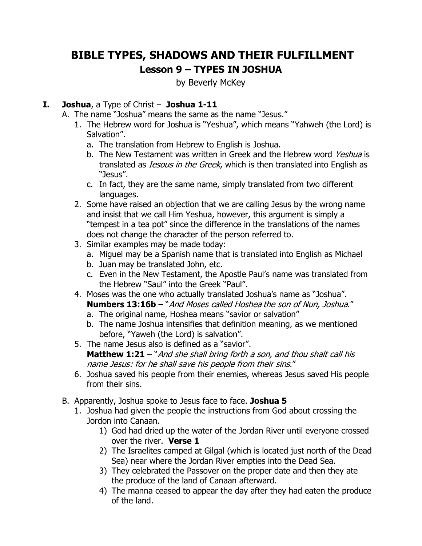# **BIBLE TYPES, SHADOWS AND THEIR FULFILLMENT Lesson 9 – TYPES IN JOSHUA**

by Beverly McKey

#### **I. Joshua**, a Type of Christ – **Joshua 1-11**

- A. The name "Joshua" means the same as the name "Jesus."
	- 1. The Hebrew word for Joshua is "Yeshua", which means "Yahweh (the Lord) is Salvation".
		- a. The translation from Hebrew to English is Joshua.
		- b. The New Testament was written in Greek and the Hebrew word Yeshua is translated as *Iesous in the Greek*, which is then translated into English as "Jesus".
		- c. In fact, they are the same name, simply translated from two different languages.
	- 2. Some have raised an objection that we are calling Jesus by the wrong name and insist that we call Him Yeshua, however, this argument is simply a "tempest in a tea pot" since the difference in the translations of the names does not change the character of the person referred to.
	- 3. Similar examples may be made today:
		- a. Miguel may be a Spanish name that is translated into English as Michael
		- b. Juan may be translated John, etc.
		- c. Even in the New Testament, the Apostle Paul's name was translated from the Hebrew "Saul" into the Greek "Paul".
	- 4. Moses was the one who actually translated Joshua's name as "Joshua". **Numbers 13:16b** – "And Moses called Hoshea the son of Nun, Joshua."
		- a. The original name, Hoshea means "savior or salvation"
		- b. The name Joshua intensifies that definition meaning, as we mentioned before, "Yaweh (the Lord) is salvation".
	- 5. The name Jesus also is defined as a "savior". **Matthew 1:21** – "And she shall bring forth a son, and thou shalt call his name Jesus: for he shall save his people from their sins."
	- 6. Joshua saved his people from their enemies, whereas Jesus saved His people from their sins.
- B. Apparently, Joshua spoke to Jesus face to face. **Joshua 5**
	- 1. Joshua had given the people the instructions from God about crossing the Jordon into Canaan.
		- 1) God had dried up the water of the Jordan River until everyone crossed over the river. **Verse 1**
		- 2) The Israelites camped at Gilgal (which is located just north of the Dead Sea) near where the Jordan River empties into the Dead Sea.
		- 3) They celebrated the Passover on the proper date and then they ate the produce of the land of Canaan afterward.
		- 4) The manna ceased to appear the day after they had eaten the produce of the land.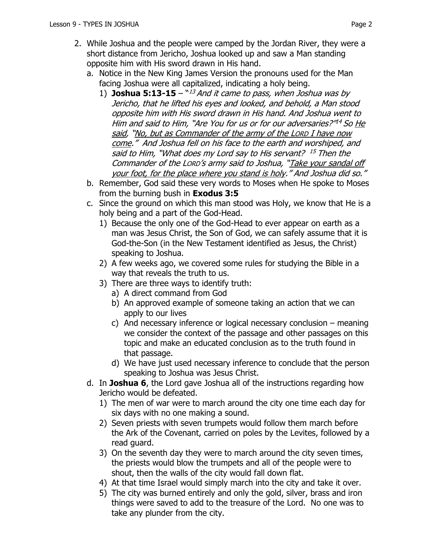- 2. While Joshua and the people were camped by the Jordan River, they were a short distance from Jericho, Joshua looked up and saw a Man standing opposite him with His sword drawn in His hand.
	- a. Notice in the New King James Version the pronouns used for the Man facing Joshua were all capitalized, indicating a holy being.
		- 1) **Joshua 5:13-15**  $\frac{13}{3}$  *And it came to pass, when Joshua was by* Jericho, that he lifted his eyes and looked, and behold, a Man stood opposite him with His sword drawn in His hand. And Joshua went to Him and said to Him, "Are You for us or for our adversaries?"<sup>14</sup> So <u>He</u> said, "No, but as Commander of the army of the LORD I have now come." And Joshua fell on his face to the earth and worshiped, and said to Him, "What does my Lord say to His servant? <sup>15</sup> Then the Commander of the LORD's army said to Joshua, "Take your sandal off your foot, for the place where you stand is holy." And Joshua did so."
	- b. Remember, God said these very words to Moses when He spoke to Moses from the burning bush in **Exodus 3:5**
	- c. Since the ground on which this man stood was Holy, we know that He is a holy being and a part of the God-Head.
		- 1) Because the only one of the God-Head to ever appear on earth as a man was Jesus Christ, the Son of God, we can safely assume that it is God-the-Son (in the New Testament identified as Jesus, the Christ) speaking to Joshua.
		- 2) A few weeks ago, we covered some rules for studying the Bible in a way that reveals the truth to us.
		- 3) There are three ways to identify truth:
			- a) A direct command from God
			- b) An approved example of someone taking an action that we can apply to our lives
			- c) And necessary inference or logical necessary conclusion meaning we consider the context of the passage and other passages on this topic and make an educated conclusion as to the truth found in that passage.
			- d) We have just used necessary inference to conclude that the person speaking to Joshua was Jesus Christ.
	- d. In **Joshua 6**, the Lord gave Joshua all of the instructions regarding how Jericho would be defeated.
		- 1) The men of war were to march around the city one time each day for six days with no one making a sound.
		- 2) Seven priests with seven trumpets would follow them march before the Ark of the Covenant, carried on poles by the Levites, followed by a read guard.
		- 3) On the seventh day they were to march around the city seven times, the priests would blow the trumpets and all of the people were to shout, then the walls of the city would fall down flat.
		- 4) At that time Israel would simply march into the city and take it over.
		- 5) The city was burned entirely and only the gold, silver, brass and iron things were saved to add to the treasure of the Lord. No one was to take any plunder from the city.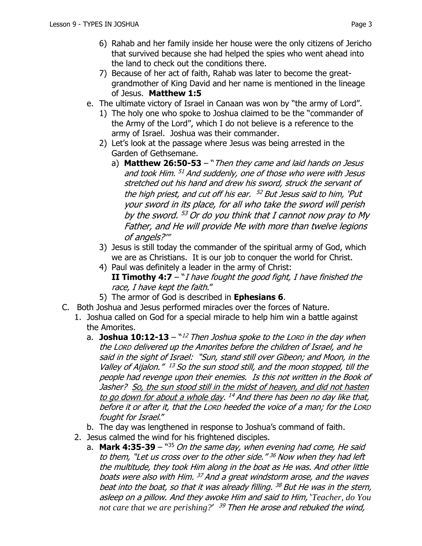- 6) Rahab and her family inside her house were the only citizens of Jericho that survived because she had helped the spies who went ahead into the land to check out the conditions there.
- 7) Because of her act of faith, Rahab was later to become the greatgrandmother of King David and her name is mentioned in the lineage of Jesus. **Matthew 1:5**
- e. The ultimate victory of Israel in Canaan was won by "the army of Lord".
	- 1) The holy one who spoke to Joshua claimed to be the "commander of the Army of the Lord", which I do not believe is a reference to the army of Israel. Joshua was their commander.
	- 2) Let's look at the passage where Jesus was being arrested in the Garden of Gethsemane.
		- a) **Matthew 26:50-53**  "Then they came and laid hands on Jesus and took Him. <sup>51</sup> And suddenly, one of those who were with Jesus stretched out his hand and drew his sword, struck the servant of the high priest, and cut off his ear. <sup>52</sup> But Jesus said to him, 'Put your sword in its place, for all who take the sword will perish by the sword. <sup>53</sup> Or do you think that I cannot now pray to My Father, and He will provide Me with more than twelve legions of angels?'"
	- 3) Jesus is still today the commander of the spiritual army of God, which we are as Christians. It is our job to conquer the world for Christ.
	- 4) Paul was definitely a leader in the army of Christ: **II Timothy 4:7**  $-$  "*I have fought the good fight, I have finished the* race, I have kept the faith."
	- 5) The armor of God is described in **Ephesians 6**.
- C. Both Joshua and Jesus performed miracles over the forces of Nature.
	- 1. Joshua called on God for a special miracle to help him win a battle against the Amorites.
		- a. **Joshua 10:12-13** ``<sup>12</sup> Then Joshua spoke to the Lorp in the day when  $\,$ the LORD delivered up the Amorites before the children of Israel, and he said in the sight of Israel: "Sun, stand still over Gibeon; and Moon, in the Valley of Aijalon." <sup>13</sup> So the sun stood still, and the moon stopped, till the people had revenge upon their enemies. Is this not written in the Book of Jasher? So, the sun stood still in the midst of heaven, and did not hasten to go down for about a whole day. <sup>14</sup> And there has been no day like that, before it or after it, that the LORD heeded the voice of a man; for the LORD fought for Israel."
		- b. The day was lengthened in response to Joshua's command of faith.
	- 2. Jesus calmed the wind for his frightened disciples.
		- a. **Mark 4:35-39** "<sup>35</sup> On the same day, when evening had come, He said to them, "Let us cross over to the other side." <sup>36</sup> Now when they had left the multitude, they took Him along in the boat as He was. And other little boats were also with Him. <sup>37</sup> And a great windstorm arose, and the waves beat into the boat, so that it was already filling. <sup>38</sup> But He was in the stern, asleep on a pillow. And they awoke Him and said to Him, '*Teacher, do You not care that we are perishing?*' <sup>39</sup> Then He arose and rebuked the wind,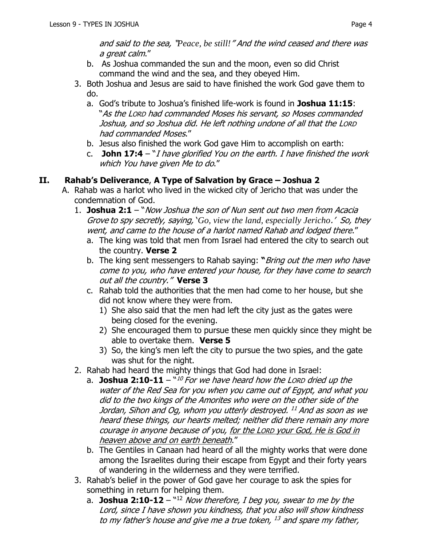and said to the sea, "*Peace, be still!*" And the wind ceased and there was a great calm."

- b. As Joshua commanded the sun and the moon, even so did Christ command the wind and the sea, and they obeyed Him.
- 3. Both Joshua and Jesus are said to have finished the work God gave them to do.
	- a. God's tribute to Joshua's finished life-work is found in **Joshua 11:15**: "As the LORD had commanded Moses his servant, so Moses commanded Joshua, and so Joshua did. He left nothing undone of all that the LORD had commanded Moses."
	- b. Jesus also finished the work God gave Him to accomplish on earth:
	- c. **John 17:4** "I have glorified You on the earth. I have finished the work which You have given Me to do."

## **II. Rahab's Deliverance**, **A Type of Salvation by Grace – Joshua 2**

- A. Rahab was a harlot who lived in the wicked city of Jericho that was under the condemnation of God.
	- 1. **Joshua 2:1** "Now Joshua the son of Nun sent out two men from Acacia Grove to spy secretly, saying, '*Go, view the land, especially Jericho*.' So, they went, and came to the house of a harlot named Rahab and lodged there."
		- a. The king was told that men from Israel had entered the city to search out the country. **Verse 2**
		- b. The king sent messengers to Rahab saying: **"**Bring out the men who have come to you, who have entered your house, for they have come to search out all the country." **Verse 3**
		- c. Rahab told the authorities that the men had come to her house, but she did not know where they were from.
			- 1) She also said that the men had left the city just as the gates were being closed for the evening.
			- 2) She encouraged them to pursue these men quickly since they might be able to overtake them. **Verse 5**
			- 3) So, the king's men left the city to pursue the two spies, and the gate was shut for the night.
	- 2. Rahab had heard the mighty things that God had done in Israel:
		- a. **Joshua 2:10-11** `*`<sup>10</sup> For we have heard how the Lorp dried up the* water of the Red Sea for you when you came out of Egypt, and what you did to the two kings of the Amorites who were on the other side of the Jordan, Sihon and Og, whom you utterly destroyed. <sup>11</sup> And as soon as we heard these things, our hearts melted; neither did there remain any more courage in anyone because of you, for the LORD your God, He is God in heaven above and on earth beneath."
		- b. The Gentiles in Canaan had heard of all the mighty works that were done among the Israelites during their escape from Egypt and their forty years of wandering in the wilderness and they were terrified.
	- 3. Rahab's belief in the power of God gave her courage to ask the spies for something in return for helping them.
		- a. **Joshua 2:10-12** "<sup>12</sup> Now therefore, I beg you, swear to me by the Lord, since I have shown you kindness, that you also will show kindness to my father's house and give me a true token, <sup>13</sup> and spare my father,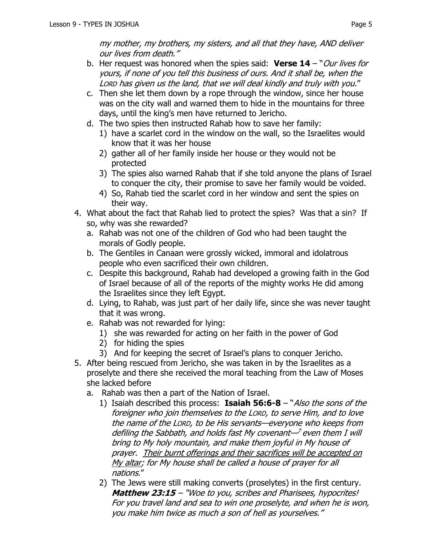my mother, my brothers, my sisters, and all that they have, AND deliver our lives from death."

- b. Her request was honored when the spies said: **Verse 14**  "Our lives for yours, if none of you tell this business of ours. And it shall be, when the LORD has given us the land, that we will deal kindly and truly with you."
- c. Then she let them down by a rope through the window, since her house was on the city wall and warned them to hide in the mountains for three days, until the king's men have returned to Jericho.
- d. The two spies then instructed Rahab how to save her family:
	- 1) have a scarlet cord in the window on the wall, so the Israelites would know that it was her house
	- 2) gather all of her family inside her house or they would not be protected
	- 3) The spies also warned Rahab that if she told anyone the plans of Israel to conquer the city, their promise to save her family would be voided.
	- 4) So, Rahab tied the scarlet cord in her window and sent the spies on their way.
- 4. What about the fact that Rahab lied to protect the spies? Was that a sin? If so, why was she rewarded?
	- a. Rahab was not one of the children of God who had been taught the morals of Godly people.
	- b. The Gentiles in Canaan were grossly wicked, immoral and idolatrous people who even sacrificed their own children.
	- c. Despite this background, Rahab had developed a growing faith in the God of Israel because of all of the reports of the mighty works He did among the Israelites since they left Egypt.
	- d. Lying, to Rahab, was just part of her daily life, since she was never taught that it was wrong.
	- e. Rahab was not rewarded for lying:
		- 1) she was rewarded for acting on her faith in the power of God
		- 2) for hiding the spies
		- 3) And for keeping the secret of Israel's plans to conquer Jericho.
- 5. After being rescued from Jericho, she was taken in by the Israelites as a proselyte and there she received the moral teaching from the Law of Moses she lacked before
	- a. Rahab was then a part of the Nation of Israel.
		- 1) Isaiah described this process: **Isaiah 56:6-8**  "Also the sons of the foreigner who join themselves to the LORD, to serve Him, and to love the name of the LORD, to be His servants—everyone who keeps from defiling the Sabbath, and holds fast My covenant—<sup>7</sup> even them I will bring to My holy mountain, and make them joyful in My house of prayer. Their burnt offerings and their sacrifices will be accepted on My altar; for My house shall be called a house of prayer for all nations."
		- 2) The Jews were still making converts (proselytes) in the first century. **Matthew 23:15** – "Woe to you, scribes and Pharisees, hypocrites! For you travel land and sea to win one proselyte, and when he is won, you make him twice as much a son of hell as yourselves."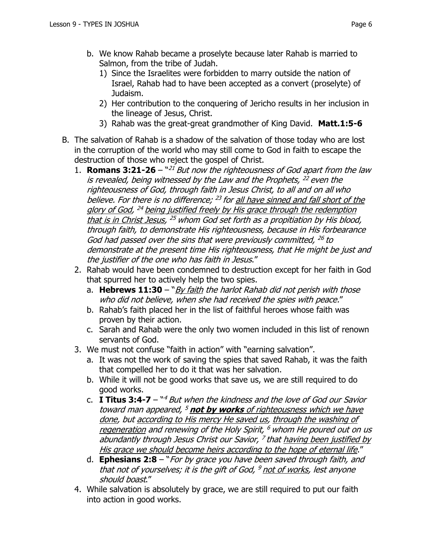- b. We know Rahab became a proselyte because later Rahab is married to Salmon, from the tribe of Judah.
	- 1) Since the Israelites were forbidden to marry outside the nation of Israel, Rahab had to have been accepted as a convert (proselyte) of Judaism.
	- 2) Her contribution to the conquering of Jericho results in her inclusion in the lineage of Jesus, Christ.
	- 3) Rahab was the great-great grandmother of King David. **Matt.1:5-6**
- B. The salvation of Rahab is a shadow of the salvation of those today who are lost in the corruption of the world who may still come to God in faith to escape the destruction of those who reject the gospel of Christ.
	- 1. **Romans 3:21-26** <sup>n21</sup> But now the righteousness of God apart from the law is revealed, being witnessed by the Law and the Prophets, <sup>22</sup> even the righteousness of God, through faith in Jesus Christ, to all and on all who believe. For there is no difference; <sup>23</sup> for <u>all have sinned and fall short of the</u> glory of God, <sup>24</sup> being justified freely by His grace through the redemption that is in Christ Jesus, <sup>25</sup> whom God set forth as a propitiation by His blood, through faith, to demonstrate His righteousness, because in His forbearance God had passed over the sins that were previously committed, <sup>26</sup> to demonstrate at the present time His righteousness, that He might be just and the justifier of the one who has faith in Jesus."
	- 2. Rahab would have been condemned to destruction except for her faith in God that spurred her to actively help the two spies.
		- a. **Hebrews 11:30**  "By faith the harlot Rahab did not perish with those who did not believe, when she had received the spies with peace."
		- b. Rahab's faith placed her in the list of faithful heroes whose faith was proven by their action.
		- c. Sarah and Rahab were the only two women included in this list of renown servants of God.
	- 3. We must not confuse "faith in action" with "earning salvation".
		- a. It was not the work of saving the spies that saved Rahab, it was the faith that compelled her to do it that was her salvation.
		- b. While it will not be good works that save us, we are still required to do good works.
		- c. **I Titus 3:4-7**  " <sup>4</sup> But when the kindness and the love of God our Savior toward man appeared, <sup>5</sup> **not by works** of righteousness which we have done, but according to His mercy He saved us, through the washing of regeneration and renewing of the Holy Spirit, <sup>6</sup> whom He poured out on us abundantly through Jesus Christ our Savior, <sup>7</sup> that <u>having been justified by</u> His grace we should become heirs according to the hope of eternal life."
		- d. **Ephesians 2:8**  "For by grace you have been saved through faith, and that not of yourselves; it is the gift of God, <sup>9</sup> not of works, lest anyone should boast."
	- 4. While salvation is absolutely by grace, we are still required to put our faith into action in good works.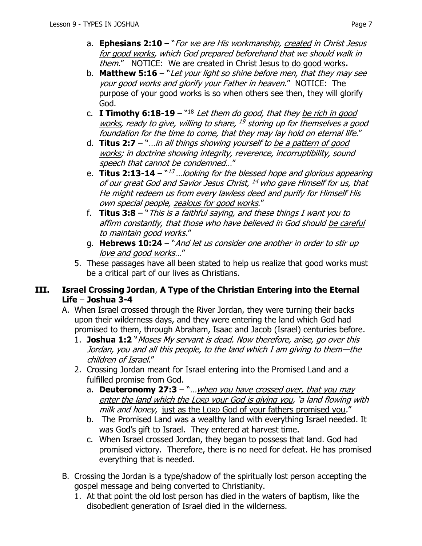- a. **Ephesians 2:10**  "For we are His workmanship, created in Christ Jesus for good works, which God prepared beforehand that we should walk in them." NOTICE: We are created in Christ Jesus to do good works**.**
- b. **Matthew 5:16**  "Let your light so shine before men, that they may see your good works and glorify your Father in heaven." NOTICE: The purpose of your good works is so when others see then, they will glorify God.
- c. **I Timothy 6:18-19** "<sup>18</sup> Let them do good, that they <u>be rich in good</u> works, ready to give, willing to share, <sup>19</sup> storing up for themselves a good foundation for the time to come, that they may lay hold on eternal life."
- d. **Titus 2:7**  "…in all things showing yourself to be a pattern of good works; in doctrine showing integrity, reverence, incorruptibility, sound speech that cannot be condemned…"
- e. **Titus 2:13-14**  $^{\text{w13}}$  ...looking for the blessed hope and glorious appearing of our great God and Savior Jesus Christ, <sup>14</sup> who gave Himself for us, that He might redeem us from every lawless deed and purify for Himself His own special people, zealous for good works."
- f. **Titus 3:8**  "This is a faithful saying, and these things I want you to affirm constantly, that those who have believed in God should be careful to maintain good works."
- g. **Hebrews 10:24**  "And let us consider one another in order to stir up love and good works…"
- 5. These passages have all been stated to help us realize that good works must be a critical part of our lives as Christians.

#### **III. Israel Crossing Jordan**, **A Type of the Christian Entering into the Eternal Life** – **Joshua 3-4**

- A. When Israel crossed through the River Jordan, they were turning their backs upon their wilderness days, and they were entering the land which God had promised to them, through Abraham, Isaac and Jacob (Israel) centuries before.
	- 1. **Joshua 1:2** "Moses My servant is dead. Now therefore, arise, go over this Jordan, you and all this people, to the land which I am giving to them—the children of Israel."
	- 2. Crossing Jordan meant for Israel entering into the Promised Land and a fulfilled promise from God.
		- a. **Deuteronomy 27:3** "... when you have crossed over, that you may enter the land which the LORD your God is giving you, 'a land flowing with milk and honey, just as the LORD God of your fathers promised you."
		- b. The Promised Land was a wealthy land with everything Israel needed. It was God's gift to Israel. They entered at harvest time.
		- c. When Israel crossed Jordan, they began to possess that land. God had promised victory. Therefore, there is no need for defeat. He has promised everything that is needed.
- B. Crossing the Jordan is a type/shadow of the spiritually lost person accepting the gospel message and being converted to Christianity.
	- 1. At that point the old lost person has died in the waters of baptism, like the disobedient generation of Israel died in the wilderness.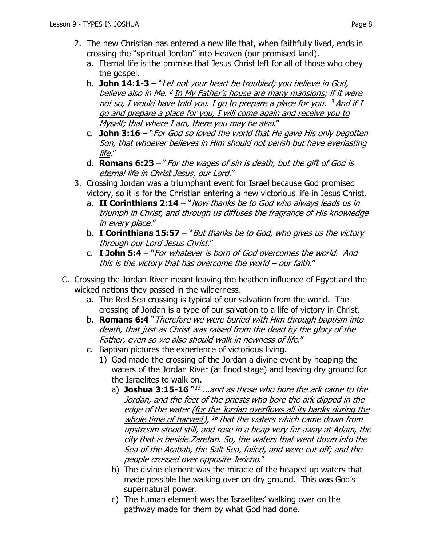- 2. The new Christian has entered a new life that, when faithfully lived, ends in crossing the "spiritual Jordan" into Heaven (our promised land).
	- a. Eternal life is the promise that Jesus Christ left for all of those who obey the gospel.
	- b. **John 14:1-3**  "Let not your heart be troubled; you believe in God, believe also in Me. <sup>2</sup> <u>In My Father's house are many mansions</u>; if it were not so, I would have told you. I go to prepare a place for you. <sup>3</sup> And <u>if I</u> go and prepare a place for you, I will come again and receive you to Myself; that where I am, there you may be also."
	- c. **John 3:16**  "For God so loved the world that He gave His only begotten Son, that whoever believes in Him should not perish but have everlasting life."
	- d. **Romans 6:23**  "For the wages of sin is death, but the gift of God is eternal life in Christ Jesus, our Lord."
- 3. Crossing Jordan was a triumphant event for Israel because God promised victory, so it is for the Christian entering a new victorious life in Jesus Christ.
	- a. **II Corinthians 2:14** "*Now thanks be to God who always leads us in* triumph in Christ, and through us diffuses the fragrance of His knowledge in every place."
	- b. **I Corinthians 15:57**  "But thanks be to God, who gives us the victory through our Lord Jesus Christ."
	- c. **I John 5:4**  "For whatever is born of God overcomes the world. And this is the victory that has overcome the world – our faith."
- C. Crossing the Jordan River meant leaving the heathen influence of Egypt and the wicked nations they passed in the wilderness.
	- a. The Red Sea crossing is typical of our salvation from the world. The crossing of Jordan is a type of our salvation to a life of victory in Christ.
	- b. **Romans 6:4** "Therefore we were buried with Him through baptism into death, that just as Christ was raised from the dead by the glory of the Father, even so we also should walk in newness of life."
	- c. Baptism pictures the experience of victorious living.
		- 1) God made the crossing of the Jordan a divine event by heaping the waters of the Jordan River (at flood stage) and leaving dry ground for the Israelites to walk on.
			- a) **Joshua 3:15-16**  $^{\backprime\prime}$ *i<sup>5</sup> ...and as those who bore the ark came to the* Jordan, and the feet of the priests who bore the ark dipped in the edge of the water (for the Jordan overflows all its banks during the whole time of harvest), <sup>16</sup> that the waters which came down from upstream stood still, and rose in a heap very far away at Adam, the city that is beside Zaretan. So, the waters that went down into the Sea of the Arabah, the Salt Sea, failed, and were cut off; and the people crossed over opposite Jericho."
			- b) The divine element was the miracle of the heaped up waters that made possible the walking over on dry ground. This was God's supernatural power.
			- c) The human element was the Israelites' walking over on the pathway made for them by what God had done.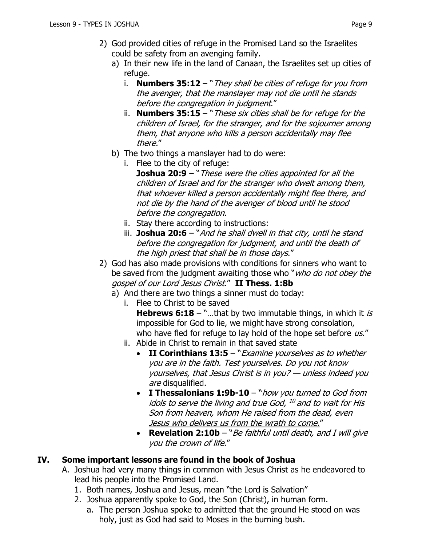- a) In their new life in the land of Canaan, the Israelites set up cities of refuge.
	- i. **Numbers 35:12**  "They shall be cities of refuge for you from the avenger, that the manslayer may not die until he stands before the congregation in judgment."
	- ii. **Numbers 35:15**  "These six cities shall be for refuge for the children of Israel, for the stranger, and for the sojourner among them, that anyone who kills a person accidentally may flee there."
- b) The two things a manslayer had to do were:
	- i. Flee to the city of refuge: **Joshua 20:9** – "These were the cities appointed for all the children of Israel and for the stranger who dwelt among them, that whoever killed a person accidentally might flee there, and not die by the hand of the avenger of blood until he stood before the congregation.
	- ii. Stay there according to instructions:
	- iii. **Joshua 20:6** "And he shall dwell in that city, until he stand before the congregation for judgment, and until the death of the high priest that shall be in those days."
- 2) God has also made provisions with conditions for sinners who want to be saved from the judgment awaiting those who "*who do not obey the* gospel of our Lord Jesus Christ." **II Thess. 1:8b**
	- a) And there are two things a sinner must do today:
		- i. Flee to Christ to be saved **Hebrews 6:18** – "...that by two immutable things, in which it is impossible for God to lie, we might have strong consolation, who have fled for refuge to lay hold of the hope set before  $\mu s$ ."
		- ii. Abide in Christ to remain in that saved state
			- **II Corinthians 13:5**  "Examine yourselves as to whether you are in the faith. Test yourselves. Do you not know yourselves, that Jesus Christ is in you? — unless indeed you are disqualified.
			- **I Thessalonians 1:9b-10**  "how you turned to God from idols to serve the living and true God, <sup>10</sup> and to wait for His Son from heaven, whom He raised from the dead, even Jesus who delivers us from the wrath to come."
			- **Revelation 2:10b** "Be faithful until death, and I will give you the crown of life."

## **IV. Some important lessons are found in the book of Joshua**

- A. Joshua had very many things in common with Jesus Christ as he endeavored to lead his people into the Promised Land.
	- 1. Both names, Joshua and Jesus, mean "the Lord is Salvation"
	- 2. Joshua apparently spoke to God, the Son (Christ), in human form.
		- a. The person Joshua spoke to admitted that the ground He stood on was holy, just as God had said to Moses in the burning bush.